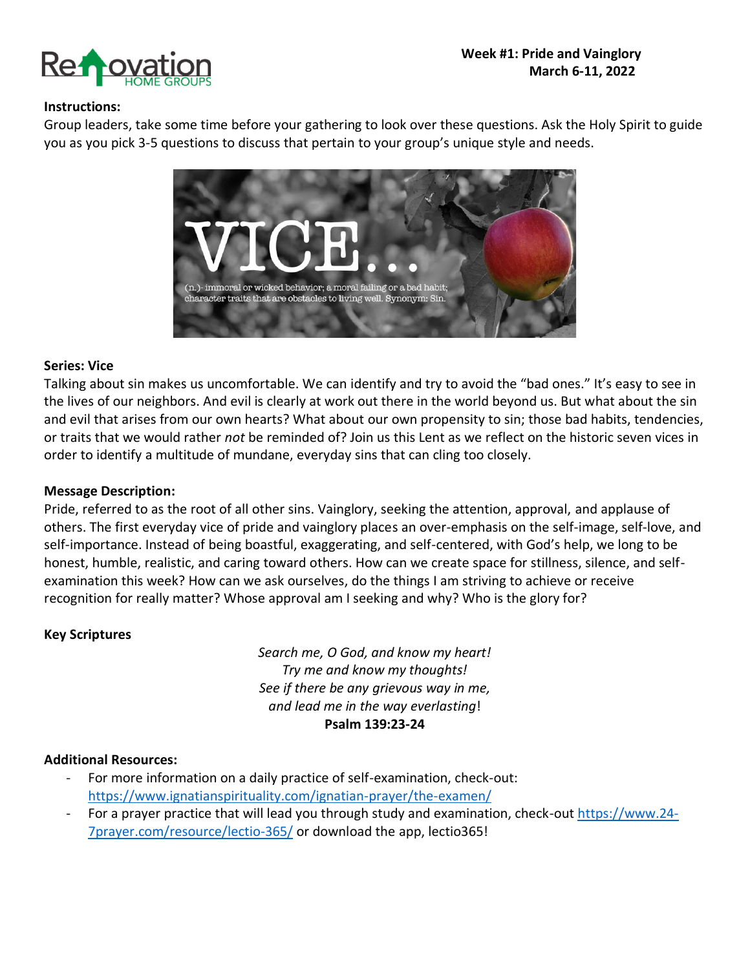

### **Instructions:**

Group leaders, take some time before your gathering to look over these questions. Ask the Holy Spirit to guide you as you pick 3-5 questions to discuss that pertain to your group's unique style and needs.



### **Series: Vice**

Talking about sin makes us uncomfortable. We can identify and try to avoid the "bad ones." It's easy to see in the lives of our neighbors. And evil is clearly at work out there in the world beyond us. But what about the sin and evil that arises from our own hearts? What about our own propensity to sin; those bad habits, tendencies, or traits that we would rather *not* be reminded of? Join us this Lent as we reflect on the historic seven vices in order to identify a multitude of mundane, everyday sins that can cling too closely.

### **Message Description:**

Pride, referred to as the root of all other sins. Vainglory, seeking the attention, approval, and applause of others. The first everyday vice of pride and vainglory places an over-emphasis on the self-image, self-love, and self-importance. Instead of being boastful, exaggerating, and self-centered, with God's help, we long to be honest, humble, realistic, and caring toward others. How can we create space for stillness, silence, and selfexamination this week? How can we ask ourselves, do the things I am striving to achieve or receive recognition for really matter? Whose approval am I seeking and why? Who is the glory for?

### **Key Scriptures**

*Search me, O God, and know my heart! Try me and know my thoughts! See if there be any grievous way in me, and lead me in the way everlasting*! **Psalm 139:23-24**

### **Additional Resources:**

- For more information on a daily practice of self-examination, check-out: <https://www.ignatianspirituality.com/ignatian-prayer/the-examen/>
- For a prayer practice that will lead you through study and examination, check-out [https://www.24-](https://www.24-7prayer.com/resource/lectio-365/) [7prayer.com/resource/lectio-365/](https://www.24-7prayer.com/resource/lectio-365/) or download the app, lectio365!